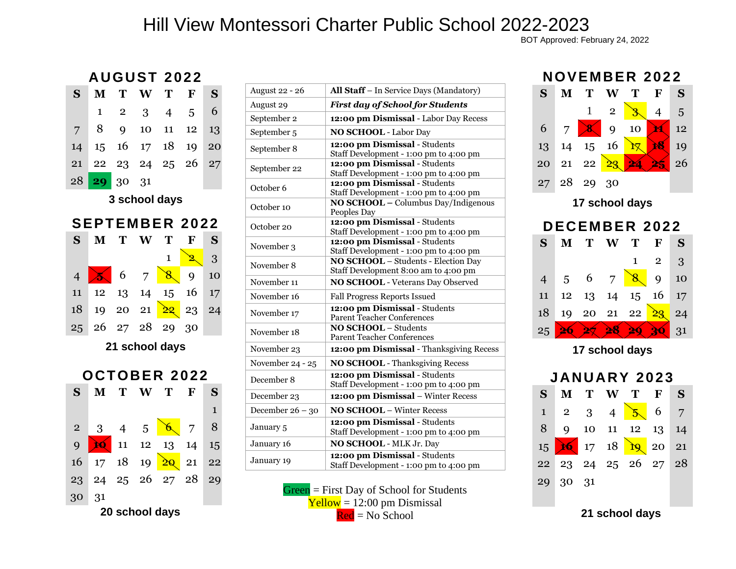## Hill View Montessori Charter Public School 2022-2023

BOT Approved: February 24, 2022

## **AUGUST 2 02 2**

| S                     | М            | Т              | W  | Т              | F  | S  |  |
|-----------------------|--------------|----------------|----|----------------|----|----|--|
|                       | $\mathbf{1}$ | $\overline{2}$ | 3  | $\overline{4}$ | 5  | 6  |  |
| 7                     | 8            | 9              | 10 | 11             | 12 | 13 |  |
| 14                    | 15           | 16             | 17 | 18             | 19 | 20 |  |
| 21                    | 22           |                |    | 23 24 25       | 26 | 27 |  |
| 28                    | 29           | 30             | 31 |                |    |    |  |
| 3 school days         |              |                |    |                |    |    |  |
| <b>SEPTEMBER 2022</b> |              |                |    |                |    |    |  |
|                       |              |                |    |                |    |    |  |
| S                     | $\mathbf M$  | T              | W  | T              | F  | S  |  |
|                       |              |                |    | $\mathbf{1}$   |    | 3  |  |
| $\overline{4}$        |              | 6              | 7  | 8.             | 9  | 10 |  |
| 11                    | 12           | 13             | 14 | 15             | 16 | 17 |  |
| 18                    | 19           | 20 21          |    | <u>১৫</u>      | 23 | 24 |  |
| 25                    | 26           | 27             | 28 | 29             | 30 |    |  |



| <b>August 22 - 26</b>  | All Staff - In Service Days (Mandatory)                                     |  |  |
|------------------------|-----------------------------------------------------------------------------|--|--|
| August 29              | <b>First day of School for Students</b>                                     |  |  |
| September 2            | 12:00 pm Dismissal - Labor Day Recess                                       |  |  |
| September <sub>5</sub> | <b>NO SCHOOL - Labor Day</b>                                                |  |  |
| September 8            | 12:00 pm Dismissal - Students<br>Staff Development - 1:00 pm to 4:00 pm     |  |  |
| September 22           | 12:00 pm Dismissal - Students<br>Staff Development - 1:00 pm to 4:00 pm     |  |  |
| October 6              | 12:00 pm Dismissal - Students<br>Staff Development - 1:00 pm to 4:00 pm     |  |  |
| October 10             | NO SCHOOL - Columbus Day/Indigenous<br>Peoples Day                          |  |  |
| October 20             | 12:00 pm Dismissal - Students<br>Staff Development - 1:00 pm to 4:00 pm     |  |  |
| November 3             | 12:00 pm Dismissal - Students<br>Staff Development - 1:00 pm to 4:00 pm     |  |  |
| November 8             | NO SCHOOL - Students - Election Day<br>Staff Development 8:00 am to 4:00 pm |  |  |
| November 11            | <b>NO SCHOOL</b> - Veterans Day Observed                                    |  |  |
| November 16            | Fall Progress Reports Issued                                                |  |  |
| November 17            | 12:00 pm Dismissal - Students<br>Parent Teacher Conferences                 |  |  |
| November 18            | <b>NO SCHOOL</b> - Students<br><b>Parent Teacher Conferences</b>            |  |  |
| November 23            | 12:00 pm Dismissal - Thanksgiving Recess                                    |  |  |
| November 24 - 25       | <b>NO SCHOOL</b> - Thanksgiving Recess                                      |  |  |
| December 8             | 12:00 pm Dismissal - Students<br>Staff Development - 1:00 pm to 4:00 pm     |  |  |
| December 23            | 12:00 pm Dismissal - Winter Recess                                          |  |  |
| December $26 - 30$     | <b>NO SCHOOL - Winter Recess</b>                                            |  |  |
| January 5              | 12:00 pm Dismissal - Students<br>Staff Development - 1:00 pm to 4:00 pm     |  |  |
| January 16             | NO SCHOOL - MLK Jr. Day                                                     |  |  |
| January 19             | 12:00 pm Dismissal - Students<br>Staff Development - 1:00 pm to 4:00 pm     |  |  |

Green = First Day of School for Students  $Yellow = 12:00 pm$  Dismissal  $\text{Red} = \text{No School}$ 





**17 school days**



**17 school days**